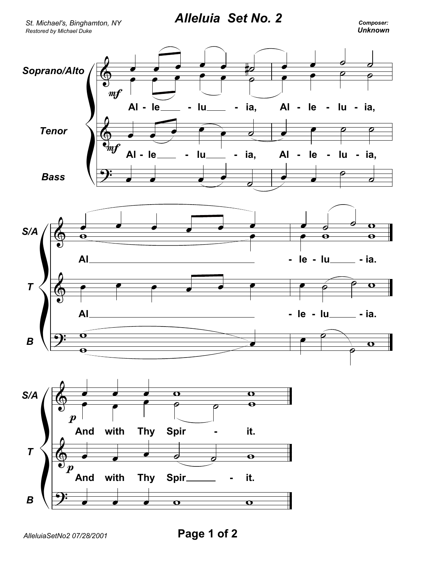*Alleluia Set No. 2*

*Restored by Michael Duke St. Michael's, Binghamton, NY*